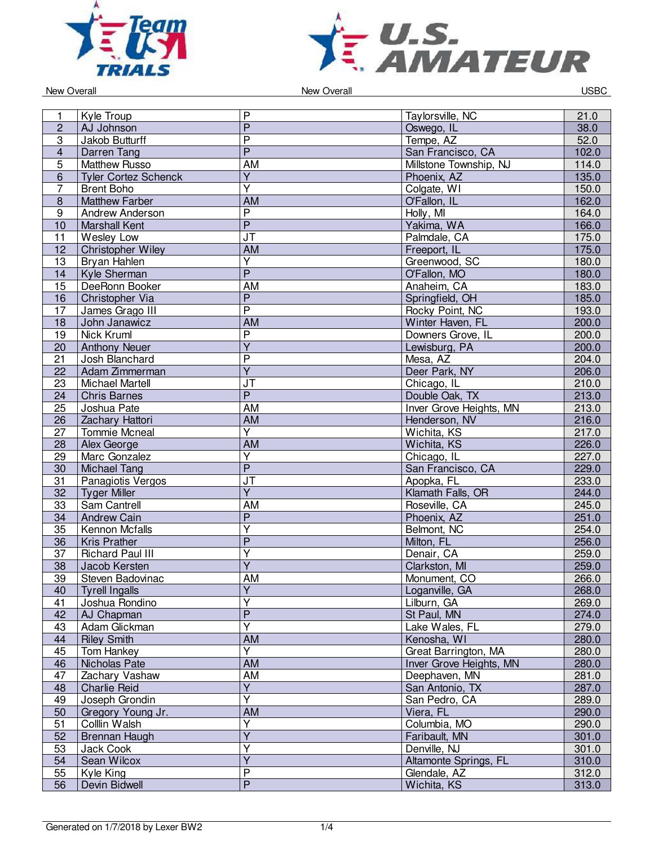



New Overall **New Overall** USBC

| 1              | Kyle Troup                  | $\mathsf{P}$                      | Taylorsville, NC                         | 21.0  |
|----------------|-----------------------------|-----------------------------------|------------------------------------------|-------|
| $\overline{2}$ | AJ Johnson                  | $\overline{P}$                    | Oswego, IL                               | 38.0  |
| 3              | Jakob Butturff              | $\overline{\mathsf{P}}$           | Tempe, AZ                                | 52.0  |
|                |                             | $\overline{P}$                    |                                          |       |
| $\overline{4}$ | Darren Tang                 |                                   | San Francisco, CA                        | 102.0 |
| 5              | <b>Matthew Russo</b>        | AM                                | Millstone Township, NJ                   | 114.0 |
| $6\phantom{1}$ | <b>Tyler Cortez Schenck</b> | $\overline{Y}$                    | Phoenix, AZ                              | 135.0 |
| 7              | <b>Brent Boho</b>           | $\overline{\mathsf{Y}}$           | Colgate, WI                              | 150.0 |
| 8              | <b>Matthew Farber</b>       | <b>AM</b>                         | O'Fallon, IL                             | 162.0 |
| 9              | Andrew Anderson             | $\overline{P}$                    | Holly, MI                                | 164.0 |
| 10             | <b>Marshall Kent</b>        | $\overline{P}$                    | Yakima, WA                               | 166.0 |
| 11             | Wesley Low                  | $\overline{\mathsf{J}\mathsf{T}}$ | Palmdale, CA                             | 175.0 |
| 12             | Christopher Wiley           | AM                                | Freeport, IL                             | 175.0 |
| 13             | <b>Bryan Hahlen</b>         | $\overline{\mathsf{Y}}$           | Greenwood, SC                            | 180.0 |
| 14             | Kyle Sherman                | $\overline{\mathsf{P}}$           | O'Fallon, MO                             | 180.0 |
| 15             | DeeRonn Booker              | AM                                | Anaheim, CA                              | 183.0 |
| 16             | Christopher Via             | $\overline{P}$                    | Springfield, OH                          | 185.0 |
| 17             | James Grago III             | $\overline{\mathsf{P}}$           | Rocky Point, NC                          | 193.0 |
| 18             | John Janawicz               | <b>AM</b>                         | Winter Haven, FL                         | 200.0 |
| 19             | Nick Kruml                  | $\overline{P}$                    | Downers Grove, IL                        | 200.0 |
| 20             | <b>Anthony Neuer</b>        | $\overline{Y}$                    | Lewisburg, PA                            | 200.0 |
| 21             | Josh Blanchard              | $\overline{P}$                    | Mesa, AZ                                 | 204.0 |
| 22             | Adam Zimmerman              | $\overline{\mathsf{Y}}$           | Deer Park, NY                            | 206.0 |
| 23             | <b>Michael Martell</b>      | JT                                | Chicago, IL                              | 210.0 |
| 24             | <b>Chris Barnes</b>         | $\overline{P}$                    | Double Oak, TX                           | 213.0 |
| 25             | Joshua Pate                 | AM                                | Inver Grove Heights, MN                  | 213.0 |
| 26             | Zachary Hattori             | <b>AM</b>                         | Henderson, NV                            | 216.0 |
| 27             | <b>Tommie Mcneal</b>        | Y                                 | Wichita, KS                              | 217.0 |
| 28             | Alex George                 | <b>AM</b>                         | Wichita, KS                              | 226.0 |
| 29             | Marc Gonzalez               | $\overline{\mathsf{Y}}$           | Chicago, IL                              | 227.0 |
| 30             | <b>Michael Tang</b>         | $\overline{P}$                    | San Francisco, CA                        | 229.0 |
| 31             | Panagiotis Vergos           | $\overline{\mathsf{J}\mathsf{T}}$ | Apopka, FL                               | 233.0 |
| 32             | <b>Tyger Miller</b>         | $\overline{\mathsf{Y}}$           | Klamath Falls, OR                        | 244.0 |
| 33             | Sam Cantrell                | AM                                | Roseville, CA                            | 245.0 |
| 34             | <b>Andrew Cain</b>          | $\overline{P}$                    | Phoenix, AZ                              | 251.0 |
| 35             | Kennon Mcfalls              | $\overline{Y}$                    | Belmont, NC                              | 254.0 |
| 36             | <b>Kris Prather</b>         | $\overline{P}$                    | Milton, FL                               | 256.0 |
| 37             | <b>Richard Paul III</b>     | $\overline{\mathsf{Y}}$           | Denair, CA                               | 259.0 |
| 38             | Jacob Kersten               | $\overline{\mathsf{Y}}$           | Clarkston, MI                            | 259.0 |
| 39             | Steven Badovinac            | <b>AM</b>                         | Monument, CO                             | 266.0 |
| 40             | <b>Tyrell Ingalls</b>       | Y                                 | Loganville, GA                           | 268.0 |
| 41             | Joshua Rondino              | $\overline{\mathsf{Y}}$           | Lilburn, GA                              | 269.0 |
| 42             | AJ Chapman                  | $\overline{P}$                    | St Paul, MN                              | 274.0 |
| 43             | Adam Glickman               | $\overline{\mathsf{Y}}$           | Lake Wales, FL                           | 279.0 |
| 44             | <b>Riley Smith</b>          | AM                                | Kenosha, WI                              | 280.0 |
| 45             | Tom Hankey                  | Y                                 | Great Barrington, MA                     | 280.0 |
|                |                             | <b>AM</b>                         |                                          | 280.0 |
| 46<br>47       | Nicholas Pate               | AM                                | Inver Grove Heights, MN<br>Deephaven, MN | 281.0 |
|                | Zachary Vashaw              | $\overline{Y}$                    |                                          |       |
| 48             | <b>Charlie Reid</b>         | $\overline{Y}$                    | San Antonio, TX                          | 287.0 |
| 49             | Joseph Grondin              |                                   | San Pedro, CA                            | 289.0 |
| 50             | Gregory Young Jr.           | AM                                | Viera, FL                                | 290.0 |
| 51             | Colllin Walsh               | Y                                 | Columbia, MO                             | 290.0 |
| 52             | Brennan Haugh               | $\overline{Y}$                    | Faribault, MN                            | 301.0 |
| 53             | Jack Cook                   | Υ                                 | Denville, NJ                             | 301.0 |
| 54             | Sean Wilcox                 | $\overline{Y}$                    | Altamonte Springs, FL                    | 310.0 |
| 55             | Kyle King                   | $\overline{P}$                    | Glendale, AZ                             | 312.0 |
| 56             | Devin Bidwell               | $\overline{P}$                    | Wichita, KS                              | 313.0 |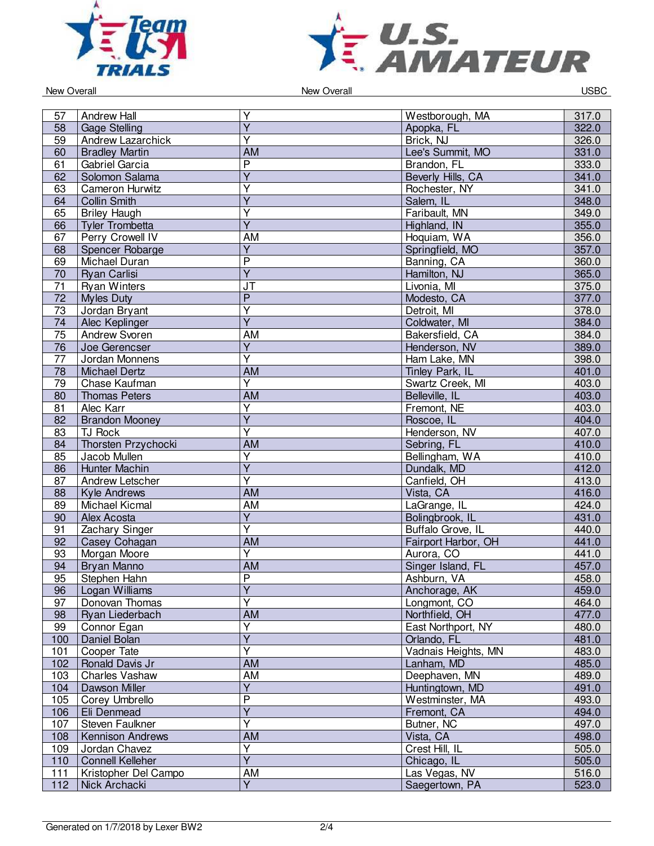



New Overall **New Overall** USBC

| 57                    | <b>Andrew Hall</b>      | Υ                                         | Westborough, MA     | 317.0          |
|-----------------------|-------------------------|-------------------------------------------|---------------------|----------------|
| 58                    | <b>Gage Stelling</b>    | $\overline{Y}$                            | Apopka, FL          | 322.0          |
| 59                    | Andrew Lazarchick       | $\overline{Y}$                            | Brick, NJ           | 326.0          |
| 60                    | <b>Bradley Martin</b>   | <b>AM</b>                                 | Lee's Summit, MO    | 331.0          |
| 61                    | Gabriel Garcia          | $\overline{P}$                            | Brandon, FL         | 333.0          |
| 62                    | Solomon Salama          | $\overline{Y}$                            | Beverly Hills, CA   | 341.0          |
| 63                    | <b>Cameron Hurwitz</b>  | $\overline{\mathsf{Y}}$                   | Rochester, NY       | 341.0          |
| 64                    | <b>Collin Smith</b>     | $\overline{\mathsf{Y}}$                   | Salem, IL           | 348.0          |
| 65                    | <b>Briley Haugh</b>     | Ÿ                                         | Faribault, MN       | 349.0          |
| 66                    | Tyler Trombetta         | $\overline{Y}$                            | Highland, IN        | 355.0          |
| 67                    | Perry Crowell IV        | <b>AM</b>                                 | Hoquiam, WA         | 356.0          |
| 68                    | Spencer Robarge         | $\overline{Y}$                            | Springfield, MO     | 357.0          |
| 69                    | Michael Duran           | $\overline{P}$                            | Banning, CA         | 360.0          |
| 70                    | <b>Ryan Carlisi</b>     | $\overline{\mathsf{Y}}$                   | Hamilton, NJ        | 365.0          |
| 71                    |                         | <b>JT</b>                                 | Livonia, MI         | 375.0          |
| $\overline{72}$       | <b>Ryan Winters</b>     | $\overline{P}$                            |                     | 377.0          |
|                       | <b>Myles Duty</b>       | $\overline{\mathsf{Y}}$                   | Modesto, CA         |                |
| 73                    | Jordan Bryant           | $\overline{Y}$                            | Detroit, MI         | 378.0          |
| 74                    | Alec Keplinger          |                                           | Coldwater, MI       | 384.0          |
| 75                    | <b>Andrew Svoren</b>    | <b>AM</b>                                 | Bakersfield, CA     | 384.0          |
| 76<br>$\overline{77}$ | Joe Gerencser           | $\overline{Y}$<br>$\overline{\mathsf{Y}}$ | Henderson, NV       | 389.0          |
|                       | Jordan Monnens          |                                           | Ham Lake, MN        | 398.0          |
| 78                    | <b>Michael Dertz</b>    | <b>AM</b>                                 | Tinley Park, IL     | 401.0          |
| 79                    | Chase Kaufman           | $\overline{\mathsf{Y}}$                   | Swartz Creek, MI    | 403.0          |
| 80                    | <b>Thomas Peters</b>    | <b>AM</b>                                 | Belleville, IL      | 403.0          |
| 81                    | <b>Alec Karr</b>        | $\overline{Y}$<br>$\overline{Y}$          | Fremont, NE         | 403.0          |
| 82                    | <b>Brandon Mooney</b>   | $\overline{\mathsf{Y}}$                   | Roscoe, IL          | 404.0          |
| 83                    | TJ Rock                 |                                           | Henderson, NV       | 407.0          |
| 84                    | Thorsten Przychocki     | <b>AM</b><br>Y                            | Sebring, FL         | 410.0          |
| 85                    | Jacob Mullen            | $\overline{\mathsf{Y}}$                   | Bellingham, WA      | 410.0          |
| 86                    | Hunter Machin           | $\overline{\mathsf{Y}}$                   | Dundalk, MD         | 412.0          |
| 87                    | Andrew Letscher         | <b>AM</b>                                 | Canfield, OH        | 413.0<br>416.0 |
| 88                    | <b>Kyle Andrews</b>     |                                           | Vista, CA           |                |
| 89                    | Michael Kicmal          | <b>AM</b>                                 | LaGrange, IL        | 424.0          |
| 90                    | Alex Acosta             | $\overline{Y}$                            | Bolingbrook, IL     | 431.0          |
| 91                    | Zachary Singer          | Υ                                         | Buffalo Grove, IL   | 440.0          |
| 92                    | Casey Cohagan           | <b>AM</b>                                 | Fairport Harbor, OH | 441.0          |
| 93                    | Morgan Moore            | $\overline{Y}$                            | Aurora, CO          | 441.0          |
| 94                    | Bryan Manno             | <b>AM</b>                                 | Singer Island, FL   | 457.0          |
| 95                    | <b>Stephen Hahn</b>     | $\overline{\mathsf{P}}$                   | Ashburn, VA         | 458.0          |
| 96                    | Logan Williams          | Y                                         | Anchorage, AK       | 459.0          |
| 97                    | Donovan Thomas          | $\overline{\mathsf{Y}}$                   | Longmont, CO        | 464.0          |
| 98                    | Ryan Liederbach         | <b>AM</b>                                 | Northfield, OH      | 477.0          |
| 99                    | Connor Egan             | $\overline{Y}$                            | East Northport, NY  | 480.0          |
| 100                   | Daniel Bolan            | $\overline{Y}$                            | Orlando, FL         | 481.0          |
| 101                   | Cooper Tate             | Υ                                         | Vadnais Heights, MN | 483.0          |
| 102                   | Ronald Davis Jr         | <b>AM</b>                                 | Lanham, MD          | 485.0          |
| 103                   | Charles Vashaw          | AM                                        | Deephaven, MN       | 489.0          |
| 104                   | Dawson Miller           | $\overline{Y}$                            | Huntingtown, MD     | 491.0          |
| 105                   | Corey Umbrello          | $\overline{\mathsf{P}}$                   | Westminster, MA     | 493.0          |
| 106                   | Eli Denmead             | $\overline{\mathsf{Y}}$                   | Fremont, CA         | 494.0          |
| 107                   | Steven Faulkner         | $\overline{\mathsf{Y}}$                   | Butner, NC          | 497.0          |
| 108                   | Kennison Andrews        | AM                                        | Vista, CA           | 498.0          |
| 109                   | Jordan Chavez           | Y                                         | Crest Hill, IL      | 505.0          |
| 110                   | <b>Connell Kelleher</b> | $\overline{Y}$                            | Chicago, IL         | 505.0          |
| 111                   | Kristopher Del Campo    | AM                                        | Las Vegas, NV       | 516.0          |
| 112                   | Nick Archacki           | $\overline{\mathsf{Y}}$                   | Saegertown, PA      | 523.0          |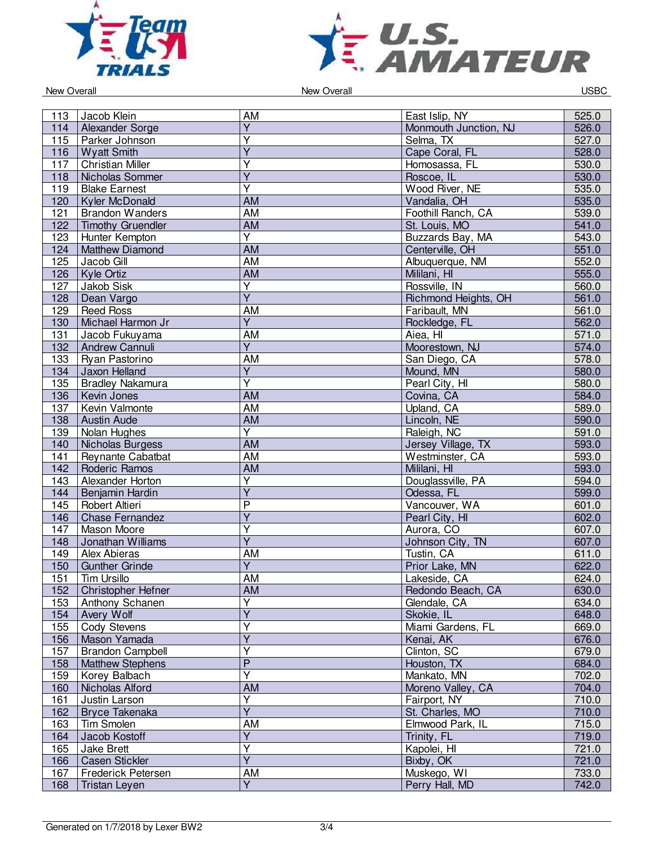



New Overall **New Overall** USBC

| 113 | Jacob Klein              | AM                                        | East Islip, NY        | 525.0 |
|-----|--------------------------|-------------------------------------------|-----------------------|-------|
| 114 | Alexander Sorge          | $\overline{Y}$                            | Monmouth Junction, NJ | 526.0 |
| 115 | Parker Johnson           | $\overline{\mathsf{Y}}$                   | Selma, TX             | 527.0 |
|     |                          | $\overline{Y}$                            |                       |       |
| 116 | <b>Wyatt Smith</b>       |                                           | Cape Coral, FL        | 528.0 |
| 117 | <b>Christian Miller</b>  | $\overline{\mathsf{Y}}$                   | Homosassa, FL         | 530.0 |
| 118 | Nicholas Sommer          | $\overline{Y}$                            | Roscoe, IL            | 530.0 |
| 119 | <b>Blake Earnest</b>     | $\overline{\mathsf{Y}}$                   | Wood River, NE        | 535.0 |
| 120 | Kyler McDonald           | <b>AM</b>                                 | Vandalia, OH          | 535.0 |
| 121 | <b>Brandon Wanders</b>   | <b>AM</b>                                 | Foothill Ranch, CA    | 539.0 |
| 122 | <b>Timothy Gruendler</b> | <b>AM</b>                                 | St. Louis, MO         | 541.0 |
| 123 | Hunter Kempton           | Y                                         | Buzzards Bay, MA      | 543.0 |
| 124 | <b>Matthew Diamond</b>   | <b>AM</b>                                 | Centerville, OH       | 551.0 |
| 125 | Jacob Gill               | $\overline{AM}$                           | Albuquerque, NM       | 552.0 |
| 126 | Kyle Ortiz               | <b>AM</b>                                 | Mililani, HI          | 555.0 |
| 127 | Jakob Sisk               | $\overline{Y}$                            | Rossville, IN         | 560.0 |
| 128 | Dean Vargo               | $\overline{Y}$                            | Richmond Heights, OH  | 561.0 |
| 129 | <b>Reed Ross</b>         | <b>AM</b>                                 | Faribault, MN         | 561.0 |
| 130 | Michael Harmon Jr        | $\overline{Y}$                            | Rockledge, FL         | 562.0 |
| 131 | Jacob Fukuyama           | <b>AM</b>                                 | Aiea, HI              | 571.0 |
| 132 | Andrew Cannuli           | $\overline{Y}$                            | Moorestown, NJ        | 574.0 |
| 133 | Ryan Pastorino           | AM                                        | San Diego, CA         | 578.0 |
| 134 | Jaxon Helland            | $\overline{Y}$                            | Mound, MN             | 580.0 |
| 135 | <b>Bradley Nakamura</b>  | $\overline{\mathsf{Y}}$                   | Pearl City, HI        | 580.0 |
| 136 | Kevin Jones              | $\overline{AM}$                           | Covina, CA            | 584.0 |
| 137 | Kevin Valmonte           | <b>AM</b>                                 | Upland, CA            | 589.0 |
| 138 | <b>Austin Aude</b>       | <b>AM</b>                                 | Lincoln, NE           | 590.0 |
| 139 | Nolan Hughes             | $\overline{\mathsf{Y}}$                   | Raleigh, NC           | 591.0 |
| 140 | Nicholas Burgess         | $\overline{AM}$                           | Jersey Village, TX    | 593.0 |
| 141 | Reynante Cabatbat        | <b>AM</b>                                 | Westminster, CA       | 593.0 |
| 142 | Roderic Ramos            | <b>AM</b>                                 | Mililani, HI          | 593.0 |
| 143 | Alexander Horton         | $\overline{Y}$                            | Douglassville, PA     | 594.0 |
| 144 | Benjamin Hardin          | $\overline{\mathsf{Y}}$                   | Odessa, FL            | 599.0 |
| 145 | Robert Altieri           | $\overline{P}$                            | Vancouver, WA         | 601.0 |
| 146 | <b>Chase Fernandez</b>   | $\overline{Y}$                            | Pearl City, HI        | 602.0 |
| 147 | Mason Moore              | Y                                         | Aurora, CO            | 607.0 |
| 148 | Jonathan Williams        | $\overline{Y}$                            | Johnson City, TN      | 607.0 |
| 149 | <b>Alex Abieras</b>      | <b>AM</b>                                 | Tustin, CA            | 611.0 |
| 150 | <b>Gunther Grinde</b>    | $\overline{Y}$                            | Prior Lake, MN        | 622.0 |
| 151 | <b>Tim Ursillo</b>       | <b>AM</b>                                 | Lakeside, CA          | 624.0 |
| 152 | Christopher Hefner       | AM                                        | Redondo Beach, CA     | 630.0 |
| 153 | Anthony Schanen          | $\overline{Y}$                            | Glendale, CA          | 634.0 |
| 154 | Avery Wolf               | $\overline{\mathsf{Y}}$                   | Skokie, IL            | 648.0 |
| 155 | <b>Cody Stevens</b>      | $\overline{Y}$                            | Miami Gardens, FL     | 669.0 |
|     | Mason Yamada             | $\overline{\mathsf{Y}}$                   | Kenai, AK             | 676.0 |
| 156 |                          | Y                                         |                       |       |
| 157 | <b>Brandon Campbell</b>  |                                           | Clinton, SC           | 679.0 |
| 158 | <b>Matthew Stephens</b>  | $\overline{P}$<br>$\overline{\mathsf{Y}}$ | Houston, TX           | 684.0 |
| 159 | Korey Balbach            |                                           | Mankato, MN           | 702.0 |
| 160 | Nicholas Alford          | AM                                        | Moreno Valley, CA     | 704.0 |
| 161 | Justin Larson            | $\overline{Y}$                            | Fairport, NY          | 710.0 |
| 162 | <b>Bryce Takenaka</b>    | $\overline{Y}$                            | St. Charles, MO       | 710.0 |
| 163 | Tim Smolen               | AM                                        | Elmwood Park, IL      | 715.0 |
| 164 | Jacob Kostoff            | $\overline{Y}$                            | Trinity, FL           | 719.0 |
| 165 | Jake Brett               | Y                                         | Kapolei, HI           | 721.0 |
| 166 | <b>Casen Stickler</b>    | $\overline{Y}$                            | Bixby, OK             | 721.0 |
| 167 | Frederick Petersen       | <b>AM</b>                                 | Muskego, WI           | 733.0 |
| 168 | <b>Tristan Leyen</b>     | $\overline{Y}$                            | Perry Hall, MD        | 742.0 |